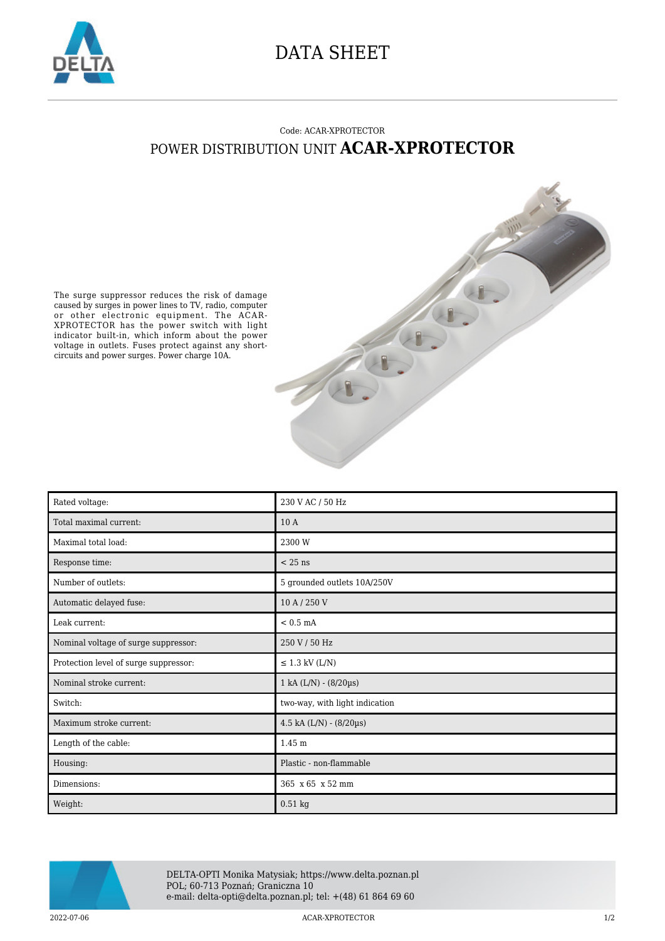

## DATA SHEET

## Code: ACAR-XPROTECTOR POWER DISTRIBUTION UNIT **ACAR-XPROTECTOR**

The surge suppressor reduces the risk of damage caused by surges in power lines to TV, radio, computer or other electronic equipment. The ACAR-XPROTECTOR has the power switch with light indicator built-in, which inform about the power voltage in outlets. Fuses protect against any shortcircuits and power surges. Power charge 10A.

| Rated voltage:                        | 230 V AC / 50 Hz                |
|---------------------------------------|---------------------------------|
| Total maximal current:                | 10A                             |
| Maximal total load:                   | 2300 W                          |
| Response time:                        | $< 25$ ns                       |
| Number of outlets:                    | 5 grounded outlets 10A/250V     |
| Automatic delayed fuse:               | 10 A / 250 V                    |
| Leak current:                         | $< 0.5$ mA                      |
| Nominal voltage of surge suppressor:  | 250 V / 50 Hz                   |
| Protection level of surge suppressor: | $\leq$ 1.3 kV (L/N)             |
| Nominal stroke current:               | $1 kA (L/N) - (8/20 \mu s)$     |
| Switch:                               | two-way, with light indication  |
| Maximum stroke current:               | $4.5$ kA $(L/N) - (8/20 \mu s)$ |
| Length of the cable:                  | 1.45 m                          |
| Housing:                              | Plastic - non-flammable         |
| Dimensions:                           | 365 x 65 x 52 mm                |
| Weight:                               | $0.51$ kg                       |



DELTA-OPTI Monika Matysiak; https://www.delta.poznan.pl POL; 60-713 Poznań; Graniczna 10 e-mail: delta-opti@delta.poznan.pl; tel: +(48) 61 864 69 60

2022-07-06 ACAR-XPROTECTOR 1/2